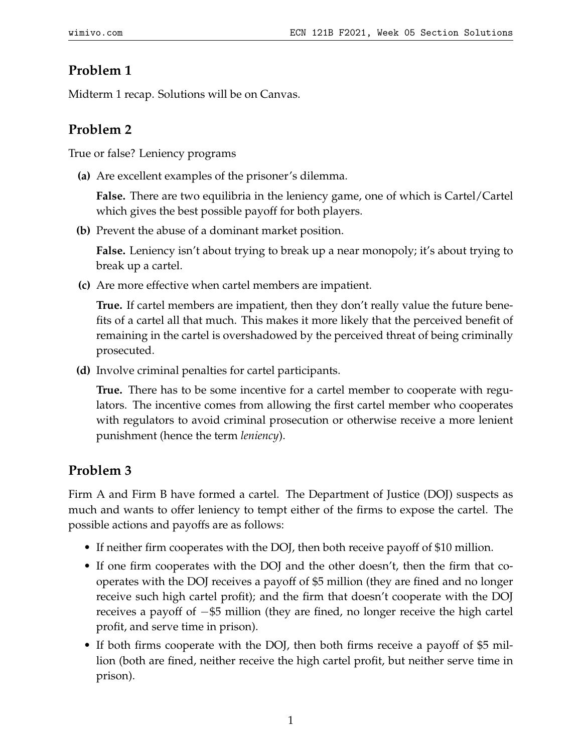## **Problem 1**

Midterm 1 recap. Solutions will be on Canvas.

## **Problem 2**

True or false? Leniency programs

**(a)** Are excellent examples of the prisoner's dilemma.

**False.** There are two equilibria in the leniency game, one of which is Cartel/Cartel which gives the best possible payoff for both players.

**(b)** Prevent the abuse of a dominant market position.

**False.** Leniency isn't about trying to break up a near monopoly; it's about trying to break up a cartel.

**(c)** Are more effective when cartel members are impatient.

**True.** If cartel members are impatient, then they don't really value the future benefits of a cartel all that much. This makes it more likely that the perceived benefit of remaining in the cartel is overshadowed by the perceived threat of being criminally prosecuted.

**(d)** Involve criminal penalties for cartel participants.

**True.** There has to be some incentive for a cartel member to cooperate with regulators. The incentive comes from allowing the first cartel member who cooperates with regulators to avoid criminal prosecution or otherwise receive a more lenient punishment (hence the term *leniency*).

## **Problem 3**

Firm A and Firm B have formed a cartel. The Department of Justice (DOJ) suspects as much and wants to offer leniency to tempt either of the firms to expose the cartel. The possible actions and payoffs are as follows:

- If neither firm cooperates with the DOJ, then both receive payoff of \$10 million.
- If one firm cooperates with the DOJ and the other doesn't, then the firm that cooperates with the DOJ receives a payoff of \$5 million (they are fined and no longer receive such high cartel profit); and the firm that doesn't cooperate with the DOJ receives a payoff of −\$5 million (they are fined, no longer receive the high cartel profit, and serve time in prison).
- If both firms cooperate with the DOJ, then both firms receive a payoff of \$5 million (both are fined, neither receive the high cartel profit, but neither serve time in prison).